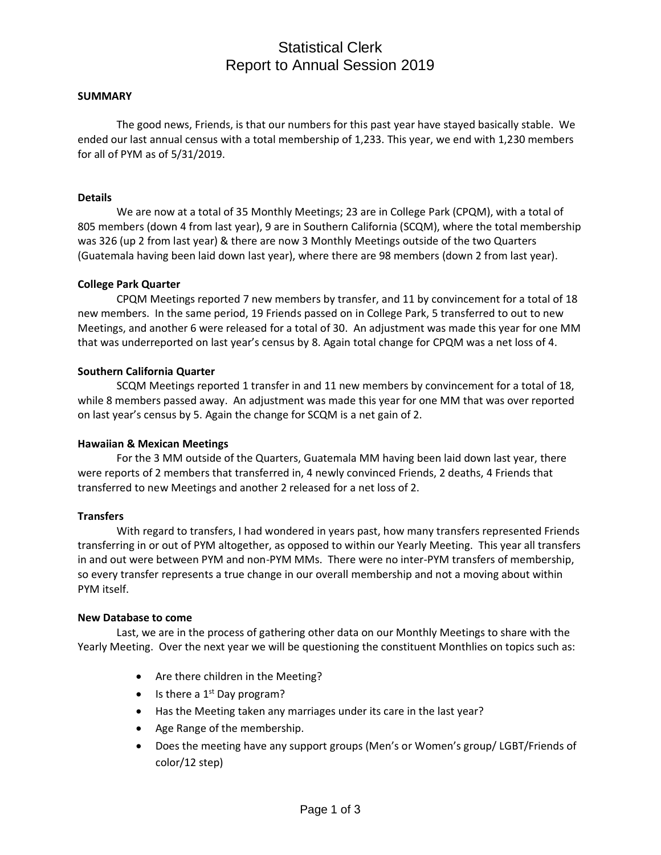## Statistical Clerk Report to Annual Session 2019

## **SUMMARY**

The good news, Friends, is that our numbers for this past year have stayed basically stable. We ended our last annual census with a total membership of 1,233. This year, we end with 1,230 members for all of PYM as of 5/31/2019.

## **Details**

We are now at a total of 35 Monthly Meetings; 23 are in College Park (CPQM), with a total of 805 members (down 4 from last year), 9 are in Southern California (SCQM), where the total membership was 326 (up 2 from last year) & there are now 3 Monthly Meetings outside of the two Quarters (Guatemala having been laid down last year), where there are 98 members (down 2 from last year).

## **College Park Quarter**

CPQM Meetings reported 7 new members by transfer, and 11 by convincement for a total of 18 new members. In the same period, 19 Friends passed on in College Park, 5 transferred to out to new Meetings, and another 6 were released for a total of 30. An adjustment was made this year for one MM that was underreported on last year's census by 8. Again total change for CPQM was a net loss of 4.

## **Southern California Quarter**

SCQM Meetings reported 1 transfer in and 11 new members by convincement for a total of 18, while 8 members passed away. An adjustment was made this year for one MM that was over reported on last year's census by 5. Again the change for SCQM is a net gain of 2.

### **Hawaiian & Mexican Meetings**

For the 3 MM outside of the Quarters, Guatemala MM having been laid down last year, there were reports of 2 members that transferred in, 4 newly convinced Friends, 2 deaths, 4 Friends that transferred to new Meetings and another 2 released for a net loss of 2.

### **Transfers**

With regard to transfers, I had wondered in years past, how many transfers represented Friends transferring in or out of PYM altogether, as opposed to within our Yearly Meeting. This year all transfers in and out were between PYM and non-PYM MMs. There were no inter-PYM transfers of membership, so every transfer represents a true change in our overall membership and not a moving about within PYM itself.

### **New Database to come**

Last, we are in the process of gathering other data on our Monthly Meetings to share with the Yearly Meeting. Over the next year we will be questioning the constituent Monthlies on topics such as:

- Are there children in the Meeting?
- $\bullet$  Is there a 1<sup>st</sup> Day program?
- Has the Meeting taken any marriages under its care in the last year?
- Age Range of the membership.
- Does the meeting have any support groups (Men's or Women's group/ LGBT/Friends of color/12 step)